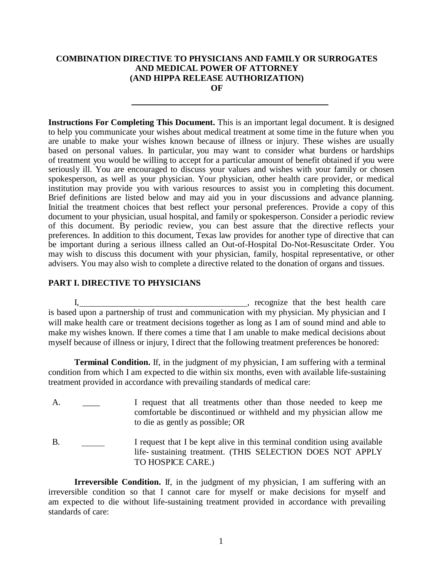#### **COMBINATION DIRECTIVE TO PHYSICIANS AND FAMILY OR SURROGATES AND MEDICAL POWER OF ATTORNEY (AND HIPPA RELEASE AUTHORIZATION) OF**

**Instructions For Completing This Document.** This is an important legal document. It is designed to help you communicate your wishes about medical treatment at some time in the future when you are unable to make your wishes known because of illness or injury. These wishes are usually based on personal values. In particular, you may want to consider what burdens or hardships of treatment you would be willing to accept for a particular amount of benefit obtained if you were seriously ill. You are encouraged to discuss your values and wishes with your family or chosen spokesperson, as well as your physician. Your physician, other health care provider, or medical institution may provide you with various resources to assist you in completing this document. Brief definitions are listed below and may aid you in your discussions and advance planning. Initial the treatment choices that best reflect your personal preferences. Provide a copy of this document to your physician, usual hospital, and family or spokesperson. Consider a periodic review of this document. By periodic review, you can best assure that the directive reflects your preferences. In addition to this document, Texas law provides for another type of directive that can be important during a serious illness called an Out-of-Hospital Do-Not-Resuscitate Order. You may wish to discuss this document with your physician, family, hospital representative, or other advisers. You may also wish to complete a directive related to the donation of organs and tissues.

## **PART I. DIRECTIVE TO PHYSICIANS**

I, meeting is a comparison of the set of the best health care is based upon a partnership of trust and communication with my physician. My physician and I will make health care or treatment decisions together as long as I am of sound mind and able to make my wishes known. If there comes a time that I am unable to make medical decisions about myself because of illness or injury, I direct that the following treatment preferences be honored:

**Terminal Condition.** If, in the judgment of my physician, I am suffering with a terminal condition from which I am expected to die within six months, even with available life-sustaining treatment provided in accordance with prevailing standards of medical care:

- A. I request that all treatments other than those needed to keep me comfortable be discontinued or withheld and my physician allow me to die as gently as possible; OR
- B. I request that I be kept alive in this terminal condition using available life- sustaining treatment. (THIS SELECTION DOES NOT APPLY TO HOSPICE CARE.)

**Irreversible Condition.** If, in the judgment of my physician, I am suffering with an irreversible condition so that I cannot care for myself or make decisions for myself and am expected to die without life-sustaining treatment provided in accordance with prevailing standards of care: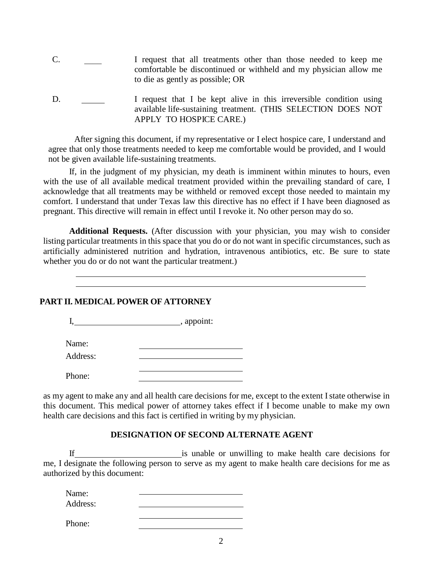- C. I request that all treatments other than those needed to keep me comfortable be discontinued or withheld and my physician allow me to die as gently as possible; OR
- D. I request that I be kept alive in this irreversible condition using available life-sustaining treatment. (THIS SELECTION DOES NOT APPLY TO HOSPICE CARE.)

After signing this document, if my representative or I elect hospice care, I understand and agree that only those treatments needed to keep me comfortable would be provided, and I would not be given available life-sustaining treatments.

If, in the judgment of my physician, my death is imminent within minutes to hours, even with the use of all available medical treatment provided within the prevailing standard of care, I acknowledge that all treatments may be withheld or removed except those needed to maintain my comfort. I understand that under Texas law this directive has no effect if I have been diagnosed as pregnant. This directive will remain in effect until I revoke it. No other person may do so.

**Additional Requests.** (After discussion with your physician, you may wish to consider listing particular treatments in this space that you do or do not want in specific circumstances, such as artificially administered nutrition and hydration, intravenous antibiotics, etc. Be sure to state whether you do or do not want the particular treatment.)

## **PART II. MEDICAL POWER OF ATTORNEY**

|          | _, appoint: |
|----------|-------------|
| Name:    |             |
| Address: |             |
| Phone:   |             |

as my agent to make any and all health care decisions for me, except to the extent I state otherwise in this document. This medical power of attorney takes effect if I become unable to make my own health care decisions and this fact is certified in writing by my physician.

## **DESIGNATION OF SECOND ALTERNATE AGENT**

If is unable or unwilling to make health care decisions for me, I designate the following person to serve as my agent to make health care decisions for me as authorized by this document:

Name: Address:

Phone: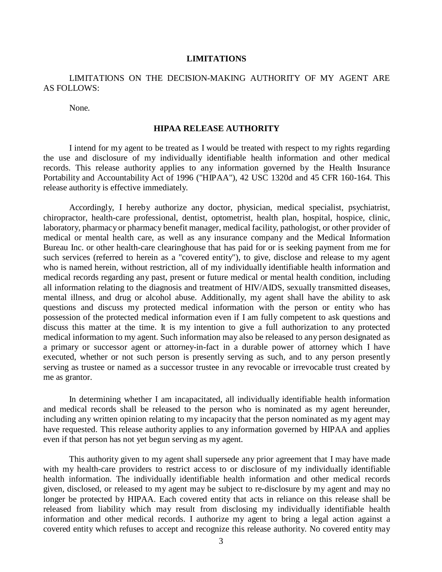#### **LIMITATIONS**

## LIMITATIONS ON THE DECISION-MAKING AUTHORITY OF MY AGENT ARE AS FOLLOWS:

None.

#### **HIPAA RELEASE AUTHORITY**

I intend for my agent to be treated as I would be treated with respect to my rights regarding the use and disclosure of my individually identifiable health information and other medical records. This release authority applies to any information governed by the Health Insurance Portability and Accountability Act of 1996 ("HIPAA"), 42 USC 1320d and 45 CFR 160-164. This release authority is effective immediately.

Accordingly, I hereby authorize any doctor, physician, medical specialist, psychiatrist, chiropractor, health-care professional, dentist, optometrist, health plan, hospital, hospice, clinic, laboratory, pharmacy or pharmacy benefit manager, medical facility, pathologist, or other provider of medical or mental health care, as well as any insurance company and the Medical Information Bureau Inc. or other health-care clearinghouse that has paid for or is seeking payment from me for such services (referred to herein as a "covered entity"), to give, disclose and release to my agent who is named herein, without restriction, all of my individually identifiable health information and medical records regarding any past, present or future medical or mental health condition, including all information relating to the diagnosis and treatment of HIV/AIDS, sexually transmitted diseases, mental illness, and drug or alcohol abuse. Additionally, my agent shall have the ability to ask questions and discuss my protected medical information with the person or entity who has possession of the protected medical information even if I am fully competent to ask questions and discuss this matter at the time. It is my intention to give a full authorization to any protected medical information to my agent. Such information may also be released to any person designated as a primary or successor agent or attorney-in-fact in a durable power of attorney which I have executed, whether or not such person is presently serving as such, and to any person presently serving as trustee or named as a successor trustee in any revocable or irrevocable trust created by me as grantor.

In determining whether I am incapacitated, all individually identifiable health information and medical records shall be released to the person who is nominated as my agent hereunder, including any written opinion relating to my incapacity that the person nominated as my agent may have requested. This release authority applies to any information governed by HIPAA and applies even if that person has not yet begun serving as my agent.

This authority given to my agent shall supersede any prior agreement that I may have made with my health-care providers to restrict access to or disclosure of my individually identifiable health information. The individually identifiable health information and other medical records given, disclosed, or released to my agent may be subject to re-disclosure by my agent and may no longer be protected by HIPAA. Each covered entity that acts in reliance on this release shall be released from liability which may result from disclosing my individually identifiable health information and other medical records. I authorize my agent to bring a legal action against a covered entity which refuses to accept and recognize this release authority. No covered entity may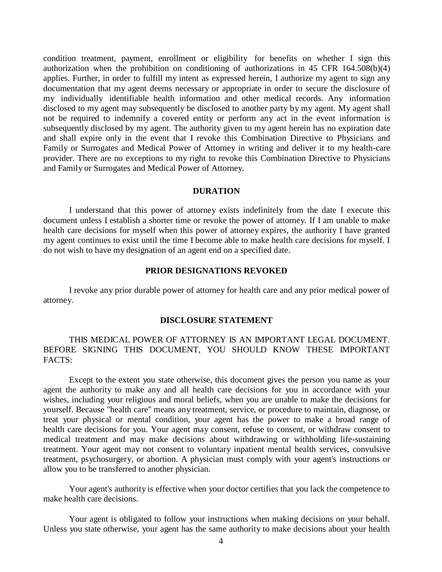condition treatment, payment, enrollment or eligibility for benefits on whether I sign this authorization when the prohibition on conditioning of authorizations in 45 CFR 164.508(b)(4) applies. Further, in order to fulfill my intent as expressed herein, I authorize my agent to sign any documentation that my agent deems necessary or appropriate in order to secure the disclosure of my individually identifiable health information and other medical records. Any information disclosed to my agent may subsequently be disclosed to another party by my agent. My agent shall not be required to indemnify a covered entity or perform any act in the event information is subsequently disclosed by my agent. The authority given to my agent herein has no expiration date and shall expire only in the event that I revoke this Combination Directive to Physicians and Family or Surrogates and Medical Power of Attorney in writing and deliver it to my health-care provider. There are no exceptions to my right to revoke this Combination Directive to Physicians and Family or Surrogates and Medical Power of Attorney.

#### **DURATION**

I understand that this power of attorney exists indefinitely from the date I execute this document unless I establish a shorter time or revoke the power of attorney. If I am unable to make health care decisions for myself when this power of attorney expires, the authority I have granted my agent continues to exist until the time I become able to make health care decisions for myself. I do not wish to have my designation of an agent end on a specified date.

#### **PRIOR DESIGNATIONS REVOKED**

I revoke any prior durable power of attorney for health care and any prior medical power of attorney.

#### **DISCLOSURE STATEMENT**

### THIS MEDICAL POWER OF ATTORNEY IS AN IMPORTANT LEGAL DOCUMENT. BEFORE SIGNING THIS DOCUMENT, YOU SHOULD KNOW THESE IMPORTANT FACTS:

Except to the extent you state otherwise, this document gives the person you name as your agent the authority to make any and all health care decisions for you in accordance with your wishes, including your religious and moral beliefs, when you are unable to make the decisions for yourself. Because "health care" means any treatment, service, or procedure to maintain, diagnose, or treat your physical or mental condition, your agent has the power to make a broad range of health care decisions for you. Your agent may consent, refuse to consent, or withdraw consent to medical treatment and may make decisions about withdrawing or withholding life-sustaining treatment. Your agent may not consent to voluntary inpatient mental health services, convulsive treatment, psychosurgery, or abortion. A physician must comply with your agent's instructions or allow you to be transferred to another physician.

Your agent's authority is effective when your doctor certifies that you lack the competence to make health care decisions.

Your agent is obligated to follow your instructions when making decisions on your behalf. Unless you state otherwise, your agent has the same authority to make decisions about your health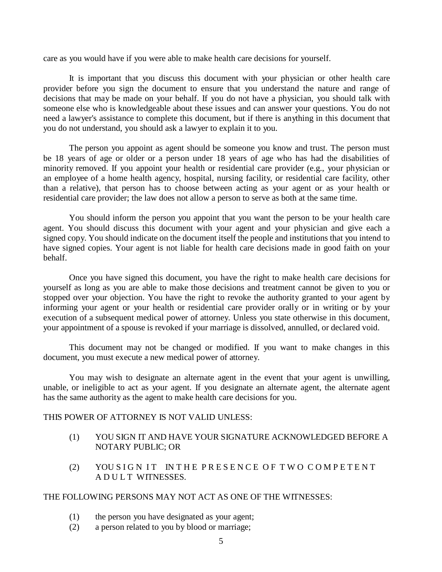care as you would have if you were able to make health care decisions for yourself.

It is important that you discuss this document with your physician or other health care provider before you sign the document to ensure that you understand the nature and range of decisions that may be made on your behalf. If you do not have a physician, you should talk with someone else who is knowledgeable about these issues and can answer your questions. You do not need a lawyer's assistance to complete this document, but if there is anything in this document that you do not understand, you should ask a lawyer to explain it to you.

The person you appoint as agent should be someone you know and trust. The person must be 18 years of age or older or a person under 18 years of age who has had the disabilities of minority removed. If you appoint your health or residential care provider (e.g., your physician or an employee of a home health agency, hospital, nursing facility, or residential care facility, other than a relative), that person has to choose between acting as your agent or as your health or residential care provider; the law does not allow a person to serve as both at the same time.

You should inform the person you appoint that you want the person to be your health care agent. You should discuss this document with your agent and your physician and give each a signed copy. You should indicate on the document itself the people and institutions that you intend to have signed copies. Your agent is not liable for health care decisions made in good faith on your behalf.

Once you have signed this document, you have the right to make health care decisions for yourself as long as you are able to make those decisions and treatment cannot be given to you or stopped over your objection. You have the right to revoke the authority granted to your agent by informing your agent or your health or residential care provider orally or in writing or by your execution of a subsequent medical power of attorney. Unless you state otherwise in this document, your appointment of a spouse is revoked if your marriage is dissolved, annulled, or declared void.

This document may not be changed or modified. If you want to make changes in this document, you must execute a new medical power of attorney.

You may wish to designate an alternate agent in the event that your agent is unwilling, unable, or ineligible to act as your agent. If you designate an alternate agent, the alternate agent has the same authority as the agent to make health care decisions for you.

### THIS POWER OF ATTORNEY IS NOT VALID UNLESS:

- (1) YOU SIGN IT AND HAVE YOUR SIGNATURE ACKNOWLEDGED BEFORE A NOTARY PUBLIC; OR
- (2) YOU SIGN IT IN THE PRESENCE OF TWO COMPETENT A D U L T WITNESSES.

### THE FOLLOWING PERSONS MAY NOT ACT AS ONE OF THE WITNESSES:

- (1) the person you have designated as your agent;
- (2) a person related to you by blood or marriage;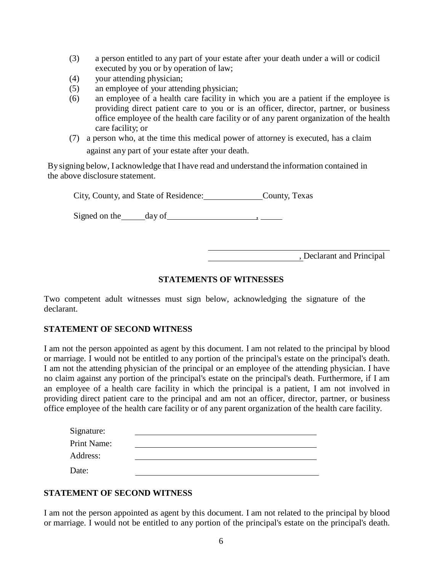- (3) a person entitled to any part of your estate after your death under a will or codicil executed by you or by operation of law;
- (4) your attending physician;
- (5) an employee of your attending physician;
- (6) an employee of a health care facility in which you are a patient if the employee is providing direct patient care to you or is an officer, director, partner, or business office employee of the health care facility or of any parent organization of the health care facility; or
- (7) a person who, at the time this medical power of attorney is executed, has a claim against any part of your estate after your death.

By signing below, I acknowledge that I have read and understand the information contained in the above disclosure statement.

City, County, and State of Residence: County, Texas

Signed on the day of  $\qquad \qquad$  ,

, Declarant and Principal

## **STATEMENTS OF WITNESSES**

Two competent adult witnesses must sign below, acknowledging the signature of the declarant.

## **STATEMENT OF SECOND WITNESS**

I am not the person appointed as agent by this document. I am not related to the principal by blood or marriage. I would not be entitled to any portion of the principal's estate on the principal's death. I am not the attending physician of the principal or an employee of the attending physician. I have no claim against any portion of the principal's estate on the principal's death. Furthermore, if I am an employee of a health care facility in which the principal is a patient, I am not involved in providing direct patient care to the principal and am not an officer, director, partner, or business office employee of the health care facility or of any parent organization of the health care facility.

| Signature:  |  |
|-------------|--|
| Print Name: |  |
| Address:    |  |
| Date:       |  |

# **STATEMENT OF SECOND WITNESS**

I am not the person appointed as agent by this document. I am not related to the principal by blood or marriage. I would not be entitled to any portion of the principal's estate on the principal's death.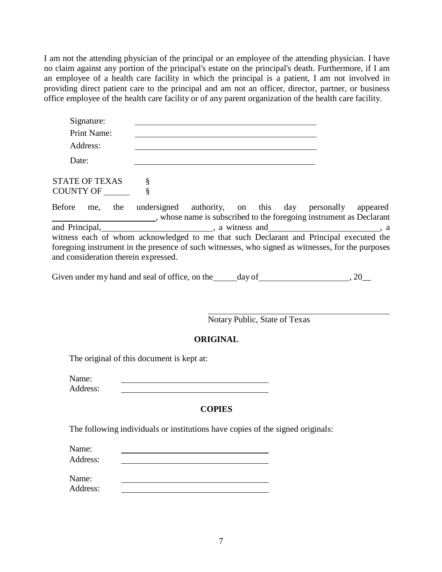I am not the attending physician of the principal or an employee of the attending physician. I have no claim against any portion of the principal's estate on the principal's death. Furthermore, if I am an employee of a health care facility in which the principal is a patient, I am not involved in providing direct patient care to the principal and am not an officer, director, partner, or business office employee of the health care facility or of any parent organization of the health care facility.

| Signature:<br>Print Name: |  |
|---------------------------|--|
| Address:                  |  |
| Date:                     |  |

STATE OF TEXAS § COUNTY OF \

Before me, the undersigned authority, on this day personally appeared , whose name is subscribed to the foregoing instrument as Declarant and Principal,  $\alpha$  , a witness and , a set of  $\alpha$  , a set of  $\alpha$  , a set of  $\alpha$  , a set of  $\alpha$  , a set of  $\alpha$  , a set of  $\alpha$  , a set of  $\alpha$  , a set of  $\alpha$  , a set of  $\alpha$  , a set of  $\alpha$  , a set of  $\alpha$  , a set of witness each of whom acknowledged to me that such Declarant and Principal executed the foregoing instrument in the presence of such witnesses, who signed as witnesses, for the purposes and consideration therein expressed.

Given under my hand and seal of office, on the  $\_\_\_\_\_\_\_\_\_\_$  day of  $\_\_\_\_\_\_\_\_\_$ , 20 $\_\_\_\_\_\_\_\_\_\_$ 

Notary Public, State of Texas

# **ORIGINAL**

The original of this document is kept at:

Address:

# **COPIES**

The following individuals or institutions have copies of the signed originals:

Name:

Address:

Name:

Address: